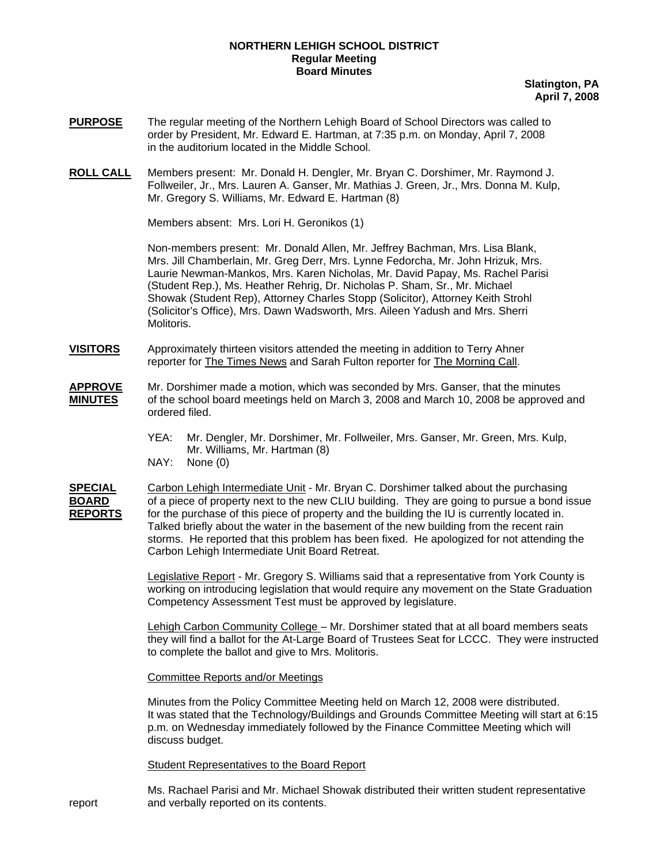## **NORTHERN LEHIGH SCHOOL DISTRICT Regular Meeting Board Minutes**

**Slatington, PA April 7, 2008**

- **PURPOSE** The regular meeting of the Northern Lehigh Board of School Directors was called to order by President, Mr. Edward E. Hartman, at 7:35 p.m. on Monday, April 7, 2008 in the auditorium located in the Middle School.
- **ROLL CALL** Members present: Mr. Donald H. Dengler, Mr. Bryan C. Dorshimer, Mr. Raymond J. Follweiler, Jr., Mrs. Lauren A. Ganser, Mr. Mathias J. Green, Jr., Mrs. Donna M. Kulp, Mr. Gregory S. Williams, Mr. Edward E. Hartman (8)

Members absent: Mrs. Lori H. Geronikos (1)

Non-members present: Mr. Donald Allen, Mr. Jeffrey Bachman, Mrs. Lisa Blank, Mrs. Jill Chamberlain, Mr. Greg Derr, Mrs. Lynne Fedorcha, Mr. John Hrizuk, Mrs. Laurie Newman-Mankos, Mrs. Karen Nicholas, Mr. David Papay, Ms. Rachel Parisi (Student Rep.), Ms. Heather Rehrig, Dr. Nicholas P. Sham, Sr., Mr. Michael Showak (Student Rep), Attorney Charles Stopp (Solicitor), Attorney Keith Strohl (Solicitor's Office), Mrs. Dawn Wadsworth, Mrs. Aileen Yadush and Mrs. Sherri Molitoris.

- **VISITORS** Approximately thirteen visitors attended the meeting in addition to Terry Ahner reporter for The Times News and Sarah Fulton reporter for The Morning Call.
- **APPROVE** Mr. Dorshimer made a motion, which was seconded by Mrs. Ganser, that the minutes **MINUTES** of the school board meetings held on March 3, 2008 and March 10, 2008 be approved and ordered filed.
	- YEA: Mr. Dengler, Mr. Dorshimer, Mr. Follweiler, Mrs. Ganser, Mr. Green, Mrs. Kulp, Mr. Williams, Mr. Hartman (8)<br>NAY: None (0)
	- None (0)

**SPECIAL** Carbon Lehigh Intermediate Unit - Mr. Bryan C. Dorshimer talked about the purchasing **BOARD** of a piece of property next to the new CLIU building. They are going to pursue a bond issue REPORTS for the purchase of this piece of property and the building the IU is currently located in. Talked briefly about the water in the basement of the new building from the recent rain storms. He reported that this problem has been fixed. He apologized for not attending the Carbon Lehigh Intermediate Unit Board Retreat.

> Legislative Report - Mr. Gregory S. Williams said that a representative from York County is working on introducing legislation that would require any movement on the State Graduation Competency Assessment Test must be approved by legislature.

 Lehigh Carbon Community College – Mr. Dorshimer stated that at all board members seats they will find a ballot for the At-Large Board of Trustees Seat for LCCC. They were instructed to complete the ballot and give to Mrs. Molitoris.

## Committee Reports and/or Meetings

 Minutes from the Policy Committee Meeting held on March 12, 2008 were distributed. It was stated that the Technology/Buildings and Grounds Committee Meeting will start at 6:15 p.m. on Wednesday immediately followed by the Finance Committee Meeting which will discuss budget.

Student Representatives to the Board Report

Ms. Rachael Parisi and Mr. Michael Showak distributed their written student representative report and verbally reported on its contents.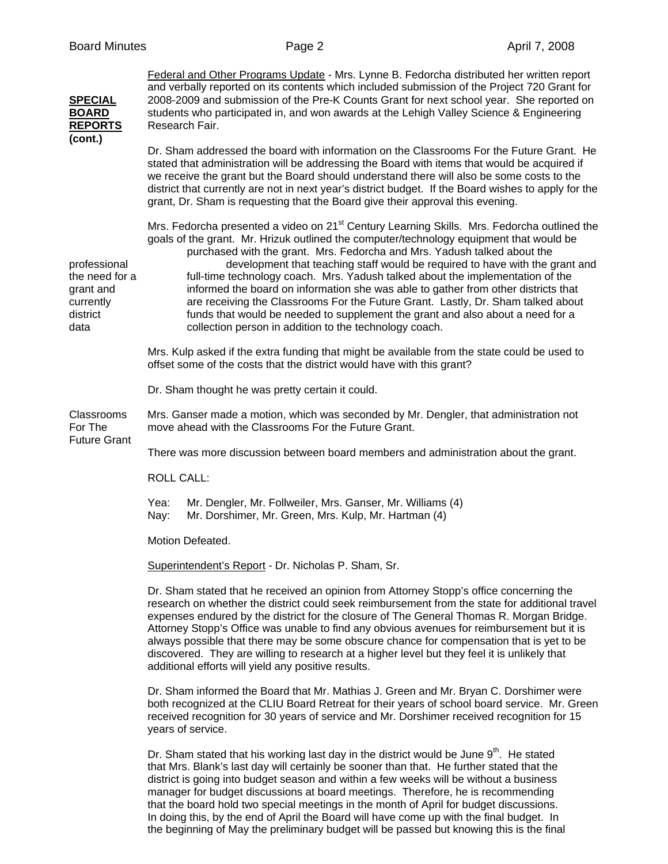|  | <b>Board Minutes</b> |
|--|----------------------|
|--|----------------------|

| <b>SPECIAL</b><br><b>BOARD</b><br><b>REPORTS</b>                             | Federal and Other Programs Update - Mrs. Lynne B. Fedorcha distributed her written report<br>and verbally reported on its contents which included submission of the Project 720 Grant for<br>2008-2009 and submission of the Pre-K Counts Grant for next school year. She reported on<br>students who participated in, and won awards at the Lehigh Valley Science & Engineering<br>Research Fair.                                                                                                                                                                                                                                                                                                                                                                     |  |  |
|------------------------------------------------------------------------------|------------------------------------------------------------------------------------------------------------------------------------------------------------------------------------------------------------------------------------------------------------------------------------------------------------------------------------------------------------------------------------------------------------------------------------------------------------------------------------------------------------------------------------------------------------------------------------------------------------------------------------------------------------------------------------------------------------------------------------------------------------------------|--|--|
| (cont.)                                                                      | Dr. Sham addressed the board with information on the Classrooms For the Future Grant. He<br>stated that administration will be addressing the Board with items that would be acquired if<br>we receive the grant but the Board should understand there will also be some costs to the<br>district that currently are not in next year's district budget. If the Board wishes to apply for the<br>grant, Dr. Sham is requesting that the Board give their approval this evening.                                                                                                                                                                                                                                                                                        |  |  |
| professional<br>the need for a<br>grant and<br>currently<br>district<br>data | Mrs. Fedorcha presented a video on 21 <sup>st</sup> Century Learning Skills. Mrs. Fedorcha outlined the<br>goals of the grant. Mr. Hrizuk outlined the computer/technology equipment that would be<br>purchased with the grant. Mrs. Fedorcha and Mrs. Yadush talked about the<br>development that teaching staff would be required to have with the grant and<br>full-time technology coach. Mrs. Yadush talked about the implementation of the<br>informed the board on information she was able to gather from other districts that<br>are receiving the Classrooms For the Future Grant. Lastly, Dr. Sham talked about<br>funds that would be needed to supplement the grant and also about a need for a<br>collection person in addition to the technology coach. |  |  |
|                                                                              | Mrs. Kulp asked if the extra funding that might be available from the state could be used to<br>offset some of the costs that the district would have with this grant?                                                                                                                                                                                                                                                                                                                                                                                                                                                                                                                                                                                                 |  |  |
|                                                                              | Dr. Sham thought he was pretty certain it could.                                                                                                                                                                                                                                                                                                                                                                                                                                                                                                                                                                                                                                                                                                                       |  |  |
| Classrooms<br>For The                                                        | Mrs. Ganser made a motion, which was seconded by Mr. Dengler, that administration not<br>move ahead with the Classrooms For the Future Grant.                                                                                                                                                                                                                                                                                                                                                                                                                                                                                                                                                                                                                          |  |  |
| <b>Future Grant</b>                                                          | There was more discussion between board members and administration about the grant.                                                                                                                                                                                                                                                                                                                                                                                                                                                                                                                                                                                                                                                                                    |  |  |
|                                                                              | <b>ROLL CALL:</b>                                                                                                                                                                                                                                                                                                                                                                                                                                                                                                                                                                                                                                                                                                                                                      |  |  |
|                                                                              | Yea:<br>Mr. Dengler, Mr. Follweiler, Mrs. Ganser, Mr. Williams (4)<br>Mr. Dorshimer, Mr. Green, Mrs. Kulp, Mr. Hartman (4)<br>Nay:                                                                                                                                                                                                                                                                                                                                                                                                                                                                                                                                                                                                                                     |  |  |
|                                                                              | Motion Defeated.                                                                                                                                                                                                                                                                                                                                                                                                                                                                                                                                                                                                                                                                                                                                                       |  |  |
|                                                                              | Superintendent's Report - Dr. Nicholas P. Sham, Sr.                                                                                                                                                                                                                                                                                                                                                                                                                                                                                                                                                                                                                                                                                                                    |  |  |
|                                                                              | Dr. Sham stated that he received an opinion from Attorney Stopp's office concerning the<br>research on whether the district could seek reimbursement from the state for additional travel<br>expenses endured by the district for the closure of The General Thomas R. Morgan Bridge.<br>Attorney Stopp's Office was unable to find any obvious avenues for reimbursement but it is<br>always possible that there may be some obscure chance for compensation that is yet to be<br>discovered. They are willing to research at a higher level but they feel it is unlikely that<br>additional efforts will yield any positive results.                                                                                                                                 |  |  |
|                                                                              | Dr. Sham informed the Board that Mr. Mathias J. Green and Mr. Bryan C. Dorshimer were<br>both recognized at the CLIU Board Retreat for their years of school board service. Mr. Green<br>received recognition for 30 years of service and Mr. Dorshimer received recognition for 15<br>years of service.                                                                                                                                                                                                                                                                                                                                                                                                                                                               |  |  |
|                                                                              | Dr. Sham stated that his working last day in the district would be June 9 <sup>th</sup> . He stated<br>that Mrs. Blank's last day will certainly be sooner than that. He further stated that the<br>district is going into budget season and within a few weeks will be without a business                                                                                                                                                                                                                                                                                                                                                                                                                                                                             |  |  |

district is going into budget season and within a few weeks will be without a business manager for budget discussions at board meetings. Therefore, he is recommending that the board hold two special meetings in the month of April for budget discussions. In doing this, by the end of April the Board will have come up with the final budget. In the beginning of May the preliminary budget will be passed but knowing this is the final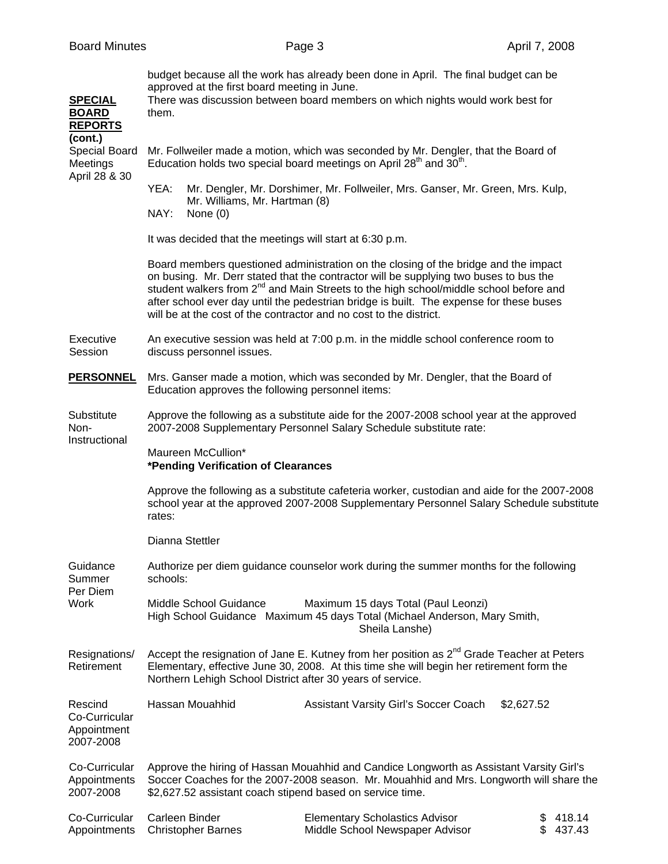| <b>SPECIAL</b><br><b>BOARD</b><br><b>REPORTS</b>      | budget because all the work has already been done in April. The final budget can be<br>approved at the first board meeting in June.<br>There was discussion between board members on which nights would work best for<br>them.                                                                                                                                                                                                                     |                                                                                                                                    |                              |  |  |
|-------------------------------------------------------|----------------------------------------------------------------------------------------------------------------------------------------------------------------------------------------------------------------------------------------------------------------------------------------------------------------------------------------------------------------------------------------------------------------------------------------------------|------------------------------------------------------------------------------------------------------------------------------------|------------------------------|--|--|
| (cont.)<br>Special Board<br>Meetings<br>April 28 & 30 | Mr. Follweiler made a motion, which was seconded by Mr. Dengler, that the Board of<br>Education holds two special board meetings on April 28 <sup>th</sup> and 30 <sup>th</sup> .                                                                                                                                                                                                                                                                  |                                                                                                                                    |                              |  |  |
|                                                       | YEA:<br>Mr. Williams, Mr. Hartman (8)<br>NAY:<br>None $(0)$                                                                                                                                                                                                                                                                                                                                                                                        | Mr. Dengler, Mr. Dorshimer, Mr. Follweiler, Mrs. Ganser, Mr. Green, Mrs. Kulp,                                                     |                              |  |  |
|                                                       | It was decided that the meetings will start at 6:30 p.m.                                                                                                                                                                                                                                                                                                                                                                                           |                                                                                                                                    |                              |  |  |
|                                                       | Board members questioned administration on the closing of the bridge and the impact<br>on busing. Mr. Derr stated that the contractor will be supplying two buses to bus the<br>student walkers from 2 <sup>nd</sup> and Main Streets to the high school/middle school before and<br>after school ever day until the pedestrian bridge is built. The expense for these buses<br>will be at the cost of the contractor and no cost to the district. |                                                                                                                                    |                              |  |  |
| Executive<br>Session                                  | An executive session was held at 7:00 p.m. in the middle school conference room to<br>discuss personnel issues.                                                                                                                                                                                                                                                                                                                                    |                                                                                                                                    |                              |  |  |
| <b>PERSONNEL</b>                                      | Mrs. Ganser made a motion, which was seconded by Mr. Dengler, that the Board of<br>Education approves the following personnel items:                                                                                                                                                                                                                                                                                                               |                                                                                                                                    |                              |  |  |
| Substitute<br>Non-<br>Instructional                   | Approve the following as a substitute aide for the 2007-2008 school year at the approved<br>2007-2008 Supplementary Personnel Salary Schedule substitute rate:                                                                                                                                                                                                                                                                                     |                                                                                                                                    |                              |  |  |
|                                                       | Maureen McCullion*<br>*Pending Verification of Clearances                                                                                                                                                                                                                                                                                                                                                                                          |                                                                                                                                    |                              |  |  |
|                                                       | Approve the following as a substitute cafeteria worker, custodian and aide for the 2007-2008<br>school year at the approved 2007-2008 Supplementary Personnel Salary Schedule substitute<br>rates:                                                                                                                                                                                                                                                 |                                                                                                                                    |                              |  |  |
|                                                       | Dianna Stettler                                                                                                                                                                                                                                                                                                                                                                                                                                    |                                                                                                                                    |                              |  |  |
| Guidance<br>Summer<br>Per Diem<br>Work                | schools:                                                                                                                                                                                                                                                                                                                                                                                                                                           | Authorize per diem guidance counselor work during the summer months for the following                                              |                              |  |  |
|                                                       | Middle School Guidance                                                                                                                                                                                                                                                                                                                                                                                                                             | Maximum 15 days Total (Paul Leonzi)<br>High School Guidance Maximum 45 days Total (Michael Anderson, Mary Smith,<br>Sheila Lanshe) |                              |  |  |
| Resignations/<br>Retirement                           | Accept the resignation of Jane E. Kutney from her position as 2 <sup>nd</sup> Grade Teacher at Peters<br>Elementary, effective June 30, 2008. At this time she will begin her retirement form the<br>Northern Lehigh School District after 30 years of service.                                                                                                                                                                                    |                                                                                                                                    |                              |  |  |
| Rescind<br>Co-Curricular<br>Appointment<br>2007-2008  | Hassan Mouahhid                                                                                                                                                                                                                                                                                                                                                                                                                                    | Assistant Varsity Girl's Soccer Coach                                                                                              | \$2,627.52                   |  |  |
| Co-Curricular<br>Appointments<br>2007-2008            | Approve the hiring of Hassan Mouahhid and Candice Longworth as Assistant Varsity Girl's<br>Soccer Coaches for the 2007-2008 season. Mr. Mouahhid and Mrs. Longworth will share the<br>\$2,627.52 assistant coach stipend based on service time.                                                                                                                                                                                                    |                                                                                                                                    |                              |  |  |
| Co-Curricular<br>Appointments                         | Carleen Binder<br><b>Christopher Barnes</b>                                                                                                                                                                                                                                                                                                                                                                                                        | <b>Elementary Scholastics Advisor</b><br>Middle School Newspaper Advisor                                                           | \$<br>418.14<br>437.43<br>\$ |  |  |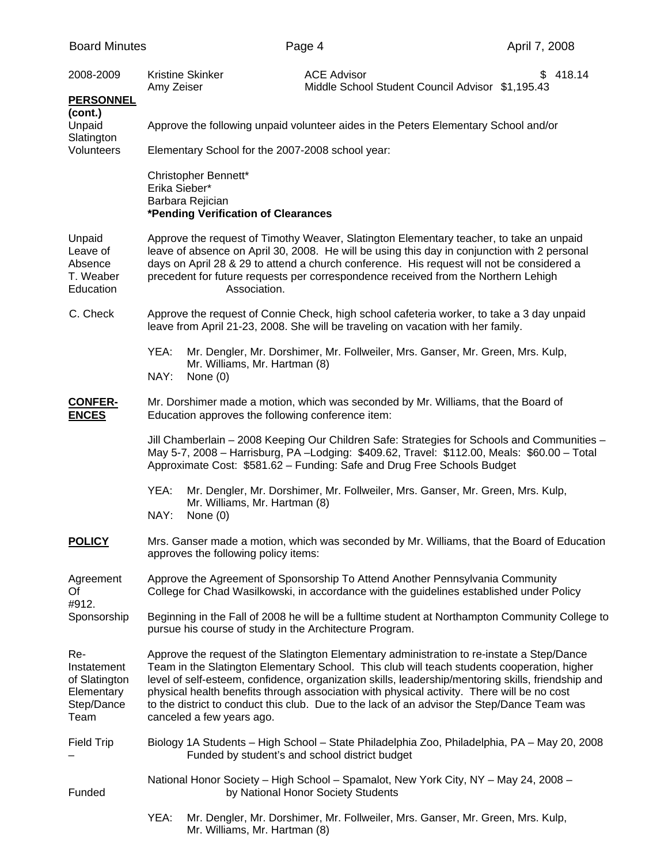| <b>Board Minutes</b>                                                    |                                                                                                                                                                                                                                                                                                                                                                                                                                                                                                                           |                                                         | Page 4                                                                                                                                                                                                                                                                 | April 7, 2008 |  |
|-------------------------------------------------------------------------|---------------------------------------------------------------------------------------------------------------------------------------------------------------------------------------------------------------------------------------------------------------------------------------------------------------------------------------------------------------------------------------------------------------------------------------------------------------------------------------------------------------------------|---------------------------------------------------------|------------------------------------------------------------------------------------------------------------------------------------------------------------------------------------------------------------------------------------------------------------------------|---------------|--|
| 2008-2009<br><b>PERSONNEL</b>                                           | Amy Zeiser                                                                                                                                                                                                                                                                                                                                                                                                                                                                                                                | Kristine Skinker                                        | <b>ACE Advisor</b><br>Middle School Student Council Advisor \$1,195.43                                                                                                                                                                                                 | 418.14<br>S.  |  |
| (cont.)<br>Unpaid<br>Slatington<br>Volunteers                           | Approve the following unpaid volunteer aides in the Peters Elementary School and/or                                                                                                                                                                                                                                                                                                                                                                                                                                       |                                                         |                                                                                                                                                                                                                                                                        |               |  |
|                                                                         | Elementary School for the 2007-2008 school year:                                                                                                                                                                                                                                                                                                                                                                                                                                                                          |                                                         |                                                                                                                                                                                                                                                                        |               |  |
|                                                                         | Christopher Bennett*<br>Erika Sieber*<br>Barbara Rejician<br>*Pending Verification of Clearances                                                                                                                                                                                                                                                                                                                                                                                                                          |                                                         |                                                                                                                                                                                                                                                                        |               |  |
| Unpaid<br>Leave of<br>Absence<br>T. Weaber<br>Education                 | Approve the request of Timothy Weaver, Slatington Elementary teacher, to take an unpaid<br>leave of absence on April 30, 2008. He will be using this day in conjunction with 2 personal<br>days on April 28 & 29 to attend a church conference. His request will not be considered a<br>precedent for future requests per correspondence received from the Northern Lehigh<br>Association.                                                                                                                                |                                                         |                                                                                                                                                                                                                                                                        |               |  |
| C. Check                                                                |                                                                                                                                                                                                                                                                                                                                                                                                                                                                                                                           |                                                         | Approve the request of Connie Check, high school cafeteria worker, to take a 3 day unpaid<br>leave from April 21-23, 2008. She will be traveling on vacation with her family.                                                                                          |               |  |
|                                                                         | YEA:<br>NAY:                                                                                                                                                                                                                                                                                                                                                                                                                                                                                                              | Mr. Williams, Mr. Hartman (8)<br>None $(0)$             | Mr. Dengler, Mr. Dorshimer, Mr. Follweiler, Mrs. Ganser, Mr. Green, Mrs. Kulp,                                                                                                                                                                                         |               |  |
| <b>CONFER-</b><br><b>ENCES</b>                                          |                                                                                                                                                                                                                                                                                                                                                                                                                                                                                                                           | Education approves the following conference item:       | Mr. Dorshimer made a motion, which was seconded by Mr. Williams, that the Board of                                                                                                                                                                                     |               |  |
|                                                                         |                                                                                                                                                                                                                                                                                                                                                                                                                                                                                                                           |                                                         | Jill Chamberlain - 2008 Keeping Our Children Safe: Strategies for Schools and Communities -<br>May 5-7, 2008 - Harrisburg, PA - Lodging: \$409.62, Travel: \$112.00, Meals: \$60.00 - Total<br>Approximate Cost: \$581.62 - Funding: Safe and Drug Free Schools Budget |               |  |
|                                                                         | YEA:<br>NAY:                                                                                                                                                                                                                                                                                                                                                                                                                                                                                                              | Mr. Williams, Mr. Hartman (8)<br>None $(0)$             | Mr. Dengler, Mr. Dorshimer, Mr. Follweiler, Mrs. Ganser, Mr. Green, Mrs. Kulp,                                                                                                                                                                                         |               |  |
| <b>POLICY</b>                                                           | Mrs. Ganser made a motion, which was seconded by Mr. Williams, that the Board of Education<br>approves the following policy items:                                                                                                                                                                                                                                                                                                                                                                                        |                                                         |                                                                                                                                                                                                                                                                        |               |  |
| Agreement<br>Of<br>#912.<br>Sponsorship                                 |                                                                                                                                                                                                                                                                                                                                                                                                                                                                                                                           |                                                         | Approve the Agreement of Sponsorship To Attend Another Pennsylvania Community<br>College for Chad Wasilkowski, in accordance with the guidelines established under Policy                                                                                              |               |  |
|                                                                         |                                                                                                                                                                                                                                                                                                                                                                                                                                                                                                                           | pursue his course of study in the Architecture Program. | Beginning in the Fall of 2008 he will be a fulltime student at Northampton Community College to                                                                                                                                                                        |               |  |
| Re-<br>Instatement<br>of Slatington<br>Elementary<br>Step/Dance<br>Team | Approve the request of the Slatington Elementary administration to re-instate a Step/Dance<br>Team in the Slatington Elementary School. This club will teach students cooperation, higher<br>level of self-esteem, confidence, organization skills, leadership/mentoring skills, friendship and<br>physical health benefits through association with physical activity. There will be no cost<br>to the district to conduct this club. Due to the lack of an advisor the Step/Dance Team was<br>canceled a few years ago. |                                                         |                                                                                                                                                                                                                                                                        |               |  |
| <b>Field Trip</b>                                                       |                                                                                                                                                                                                                                                                                                                                                                                                                                                                                                                           |                                                         | Biology 1A Students - High School - State Philadelphia Zoo, Philadelphia, PA - May 20, 2008<br>Funded by student's and school district budget                                                                                                                          |               |  |
| Funded                                                                  |                                                                                                                                                                                                                                                                                                                                                                                                                                                                                                                           |                                                         | National Honor Society - High School - Spamalot, New York City, NY - May 24, 2008 -<br>by National Honor Society Students                                                                                                                                              |               |  |
|                                                                         | YEA:                                                                                                                                                                                                                                                                                                                                                                                                                                                                                                                      | Mr. Williams, Mr. Hartman (8)                           | Mr. Dengler, Mr. Dorshimer, Mr. Follweiler, Mrs. Ganser, Mr. Green, Mrs. Kulp,                                                                                                                                                                                         |               |  |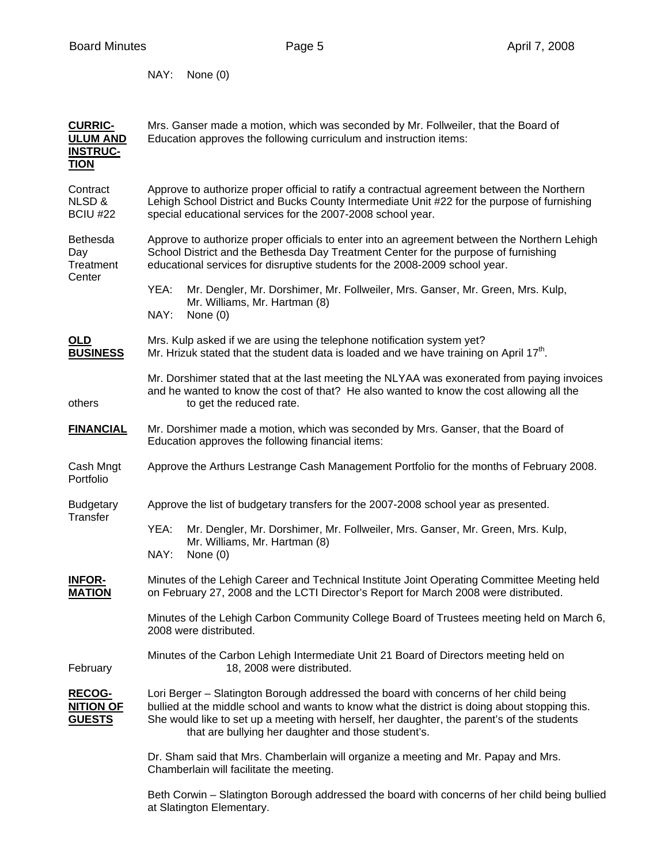NAY: None (0)

| <b>CURRIC-</b><br><b>ULUM AND</b><br><b>INSTRUC-</b><br><b>TION</b> | Mrs. Ganser made a motion, which was seconded by Mr. Follweiler, that the Board of<br>Education approves the following curriculum and instruction items:                                                                                                                                                                                      |  |  |
|---------------------------------------------------------------------|-----------------------------------------------------------------------------------------------------------------------------------------------------------------------------------------------------------------------------------------------------------------------------------------------------------------------------------------------|--|--|
| Contract<br>NLSD &<br><b>BCIU #22</b>                               | Approve to authorize proper official to ratify a contractual agreement between the Northern<br>Lehigh School District and Bucks County Intermediate Unit #22 for the purpose of furnishing<br>special educational services for the 2007-2008 school year.                                                                                     |  |  |
| Bethesda<br>Day<br>Treatment<br>Center                              | Approve to authorize proper officials to enter into an agreement between the Northern Lehigh<br>School District and the Bethesda Day Treatment Center for the purpose of furnishing<br>educational services for disruptive students for the 2008-2009 school year.                                                                            |  |  |
|                                                                     | Mr. Dengler, Mr. Dorshimer, Mr. Follweiler, Mrs. Ganser, Mr. Green, Mrs. Kulp,<br>YEA:<br>Mr. Williams, Mr. Hartman (8)<br>NAY:<br>None $(0)$                                                                                                                                                                                                 |  |  |
| <b>OLD</b><br><b>BUSINESS</b>                                       | Mrs. Kulp asked if we are using the telephone notification system yet?<br>Mr. Hrizuk stated that the student data is loaded and we have training on April 17 <sup>th</sup> .                                                                                                                                                                  |  |  |
| others                                                              | Mr. Dorshimer stated that at the last meeting the NLYAA was exonerated from paying invoices<br>and he wanted to know the cost of that? He also wanted to know the cost allowing all the<br>to get the reduced rate.                                                                                                                           |  |  |
| <b>FINANCIAL</b>                                                    | Mr. Dorshimer made a motion, which was seconded by Mrs. Ganser, that the Board of<br>Education approves the following financial items:                                                                                                                                                                                                        |  |  |
| Cash Mngt<br>Portfolio                                              | Approve the Arthurs Lestrange Cash Management Portfolio for the months of February 2008.                                                                                                                                                                                                                                                      |  |  |
| <b>Budgetary</b><br>Transfer                                        | Approve the list of budgetary transfers for the 2007-2008 school year as presented.                                                                                                                                                                                                                                                           |  |  |
|                                                                     | YEA:<br>Mr. Dengler, Mr. Dorshimer, Mr. Follweiler, Mrs. Ganser, Mr. Green, Mrs. Kulp,<br>Mr. Williams, Mr. Hartman (8)<br>NAY:<br>None $(0)$                                                                                                                                                                                                 |  |  |
| <b>INFOR-</b><br><b>MATION</b>                                      | Minutes of the Lehigh Career and Technical Institute Joint Operating Committee Meeting held<br>on February 27, 2008 and the LCTI Director's Report for March 2008 were distributed.                                                                                                                                                           |  |  |
|                                                                     | Minutes of the Lehigh Carbon Community College Board of Trustees meeting held on March 6,<br>2008 were distributed.                                                                                                                                                                                                                           |  |  |
| February                                                            | Minutes of the Carbon Lehigh Intermediate Unit 21 Board of Directors meeting held on<br>18, 2008 were distributed.                                                                                                                                                                                                                            |  |  |
| <b>RECOG-</b><br><b>NITION OF</b><br><b>GUESTS</b>                  | Lori Berger - Slatington Borough addressed the board with concerns of her child being<br>bullied at the middle school and wants to know what the district is doing about stopping this.<br>She would like to set up a meeting with herself, her daughter, the parent's of the students<br>that are bullying her daughter and those student's. |  |  |
|                                                                     | Dr. Sham said that Mrs. Chamberlain will organize a meeting and Mr. Papay and Mrs.<br>Chamberlain will facilitate the meeting.                                                                                                                                                                                                                |  |  |
|                                                                     | Beth Corwin - Slatington Borough addressed the board with concerns of her child being bullied<br>at Slatington Elementary.                                                                                                                                                                                                                    |  |  |